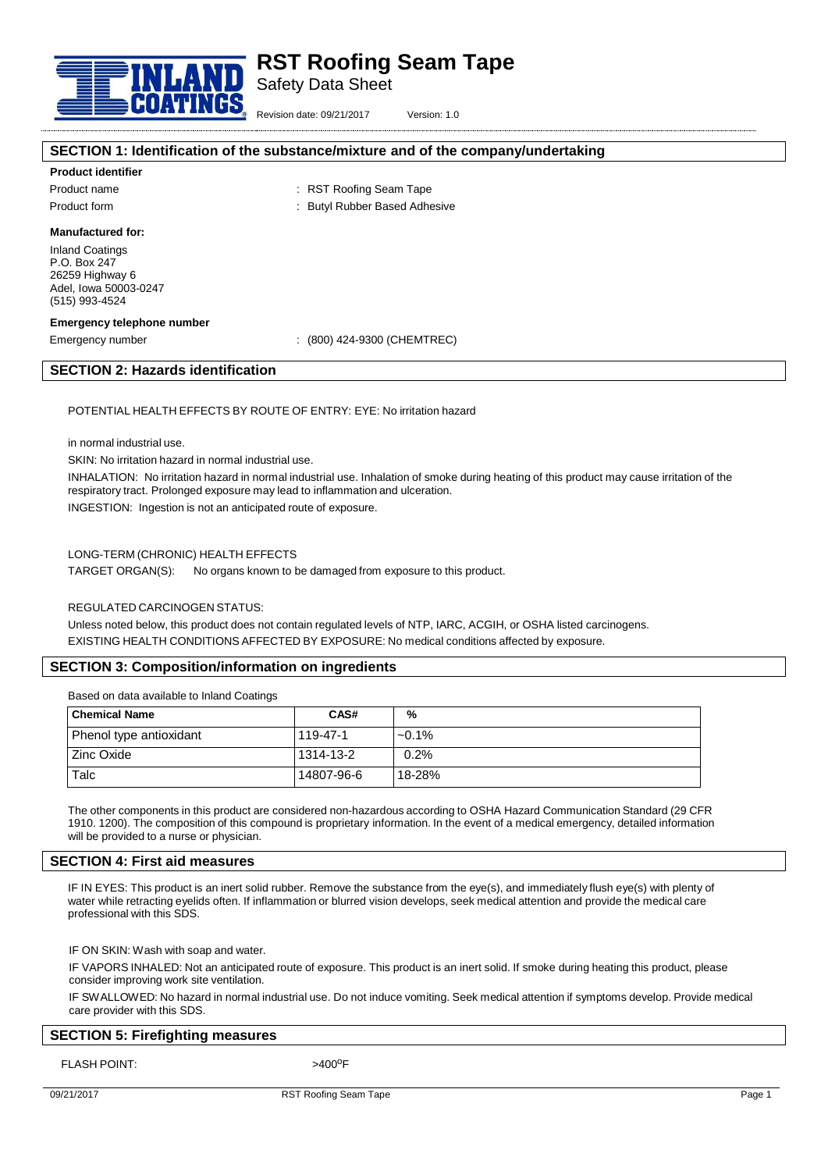

Safety Data Sheet

Revision date: 09/21/2017 Version: 1.0

# **SECTION 1: Identification of the substance/mixture and of the company/undertaking**

## **Product identifier**

Product form The Community Community Super Based Adhesive Super Based Adhesive

Product name  $\qquad \qquad : RST$  Roofing Seam Tape

**Manufactured for:**

Inland Coatings P.O. Box 247 26259 Highway 6 Adel, Iowa 50003-0247 (515) 993-4524

#### **Emergency telephone number**

Emergency number : (800) 424-9300 (CHEMTREC)

## **SECTION 2: Hazards identification**

POTENTIAL HEALTH EFFECTS BY ROUTE OF ENTRY: EYE: No irritation hazard

in normal industrial use.

SKIN: No irritation hazard in normal industrial use.

INHALATION: No irritation hazard in normal industrial use. Inhalation of smoke during heating of this product may cause irritation of the respiratory tract. Prolonged exposure may lead to inflammation and ulceration.

INGESTION: Ingestion is not an anticipated route of exposure.

## LONG-TERM (CHRONIC) HEALTH EFFECTS

TARGET ORGAN(S): No organs known to be damaged from exposure to this product.

#### REGULATED CARCINOGEN STATUS:

Unless noted below, this product does not contain regulated levels of NTP, IARC, ACGIH, or OSHA listed carcinogens. EXISTING HEALTH CONDITIONS AFFECTED BY EXPOSURE: No medical conditions affected by exposure.

# **SECTION 3: Composition/information on ingredients**

Based on data available to Inland Coatings

| <b>Chemical Name</b>    | CAS#       | %        |
|-------------------------|------------|----------|
| Phenol type antioxidant | 119-47-1   | $-0.1\%$ |
| Zinc Oxide              | 1314-13-2  | 0.2%     |
| Talc                    | 14807-96-6 | 18-28%   |

The other components in this product are considered non-hazardous according to OSHA Hazard Communication Standard (29 CFR 1910. 1200). The composition of this compound is proprietary information. In the event of a medical emergency, detailed information will be provided to a nurse or physician.

#### **SECTION 4: First aid measures**

IF IN EYES: This product is an inert solid rubber. Remove the substance from the eye(s), and immediately flush eye(s) with plenty of water while retracting eyelids often. If inflammation or blurred vision develops, seek medical attention and provide the medical care professional with this SDS.

IF ON SKIN: Wash with soap and water.

IF VAPORS INHALED: Not an anticipated route of exposure. This product is an inert solid. If smoke during heating this product, please consider improving work site ventilation.

IF SWALLOWED: No hazard in normal industrial use. Do not induce vomiting. Seek medical attention if symptoms develop. Provide medical care provider with this SDS.

# **SECTION 5: Firefighting measures**

FLASH POINT:

 $>400^{\circ}$ F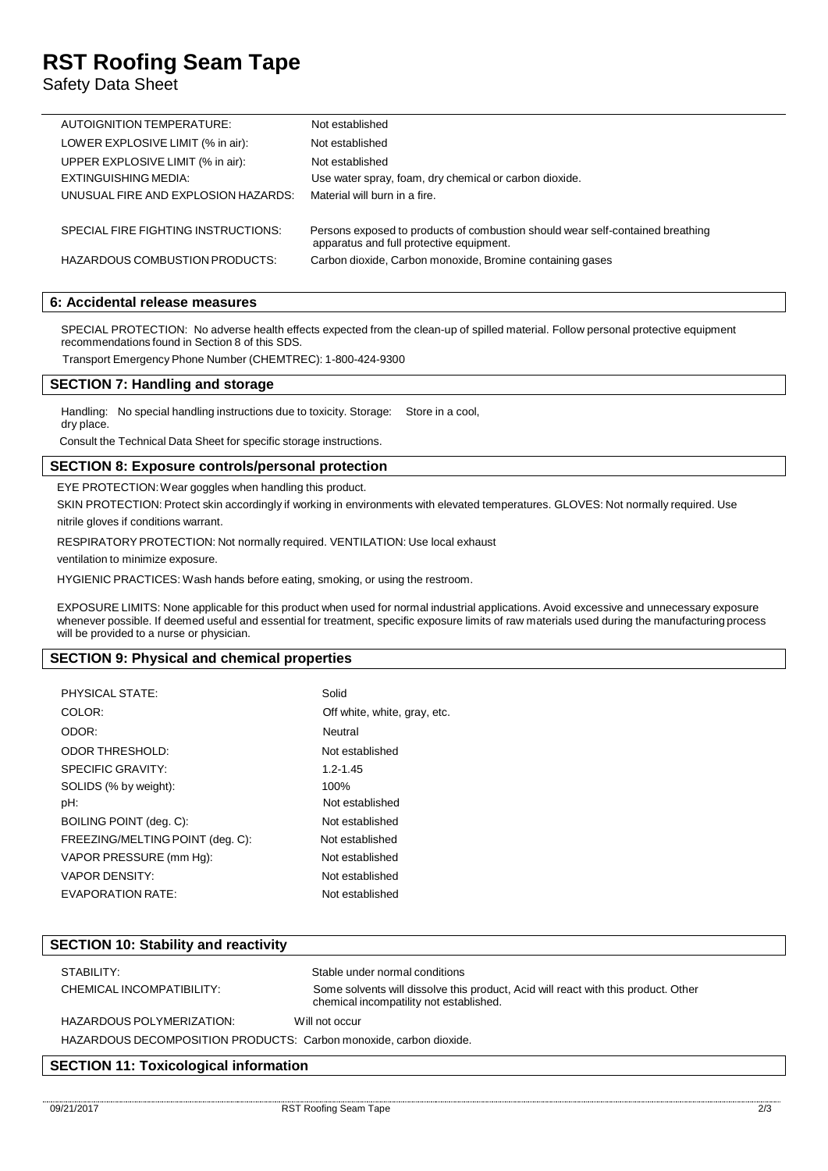# **RST Roofing Seam Tape**

Safety Data Sheet

| AUTOIGNITION TEMPERATURE:           | Not established                                                                                                            |
|-------------------------------------|----------------------------------------------------------------------------------------------------------------------------|
| LOWER EXPLOSIVE LIMIT (% in air):   | Not established                                                                                                            |
| UPPER EXPLOSIVE LIMIT (% in air):   | Not established                                                                                                            |
| EXTINGUISHING MEDIA:                | Use water spray, foam, dry chemical or carbon dioxide.                                                                     |
| UNUSUAL FIRE AND EXPLOSION HAZARDS: | Material will burn in a fire.                                                                                              |
|                                     |                                                                                                                            |
| SPECIAL FIRE FIGHTING INSTRUCTIONS: | Persons exposed to products of combustion should wear self-contained breathing<br>apparatus and full protective equipment. |
| HAZARDOUS COMBUSTION PRODUCTS:      | Carbon dioxide, Carbon monoxide, Bromine containing gases                                                                  |

# **6: Accidental release measures**

SPECIAL PROTECTION: No adverse health effects expected from the clean-up of spilled material. Follow personal protective equipment recommendations found in Section 8 of this SDS.

Transport Emergency Phone Number (CHEMTREC): 1-800-424-9300

# **SECTION 7: Handling and storage**

Handling: No special handling instructions due to toxicity. Storage: Store in a cool, dry place.

Consult the Technical Data Sheet for specific storage instructions.

# **SECTION 8: Exposure controls/personal protection**

EYE PROTECTION:Wear goggles when handling this product.

SKIN PROTECTION: Protect skin accordingly if working in environments with elevated temperatures. GLOVES: Not normally required. Use nitrile gloves if conditions warrant.

RESPIRATORY PROTECTION: Not normally required. VENTILATION: Use local exhaust

ventilation to minimize exposure.

HYGIENIC PRACTICES: Wash hands before eating, smoking, or using the restroom.

EXPOSURE LIMITS: None applicable for this product when used for normal industrial applications. Avoid excessive and unnecessary exposure whenever possible. If deemed useful and essential for treatment, specific exposure limits of raw materials used during the manufacturing process will be provided to a nurse or physician.

# **SECTION 9: Physical and chemical properties**

| PHYSICAL STATE:                  | Solid                        |
|----------------------------------|------------------------------|
| COLOR:                           | Off white, white, gray, etc. |
| ODOR:                            | Neutral                      |
| <b>ODOR THRESHOLD:</b>           | Not established              |
| SPECIFIC GRAVITY:                | $1.2 - 1.45$                 |
| SOLIDS (% by weight):            | 100%                         |
| pH:                              | Not established              |
| BOILING POINT (deg. C):          | Not established              |
| FREEZING/MELTING POINT (deg. C): | Not established              |
| VAPOR PRESSURE (mm Hq):          | Not established              |
| <b>VAPOR DENSITY:</b>            | Not established              |
| EVAPORATION RATE:                | Not established              |

| <b>SECTION 10: Stability and reactivity</b>                        |                                                                                                                               |  |
|--------------------------------------------------------------------|-------------------------------------------------------------------------------------------------------------------------------|--|
| STABILITY:                                                         | Stable under normal conditions                                                                                                |  |
| CHEMICAL INCOMPATIBILITY:                                          | Some solvents will dissolve this product, Acid will react with this product. Other<br>chemical incompatility not established. |  |
| HAZARDOUS POLYMERIZATION:                                          | Will not occur                                                                                                                |  |
| HAZARDOUS DECOMPOSITION PRODUCTS: Carbon monoxide, carbon dioxide. |                                                                                                                               |  |

# **SECTION 11: Toxicological information**